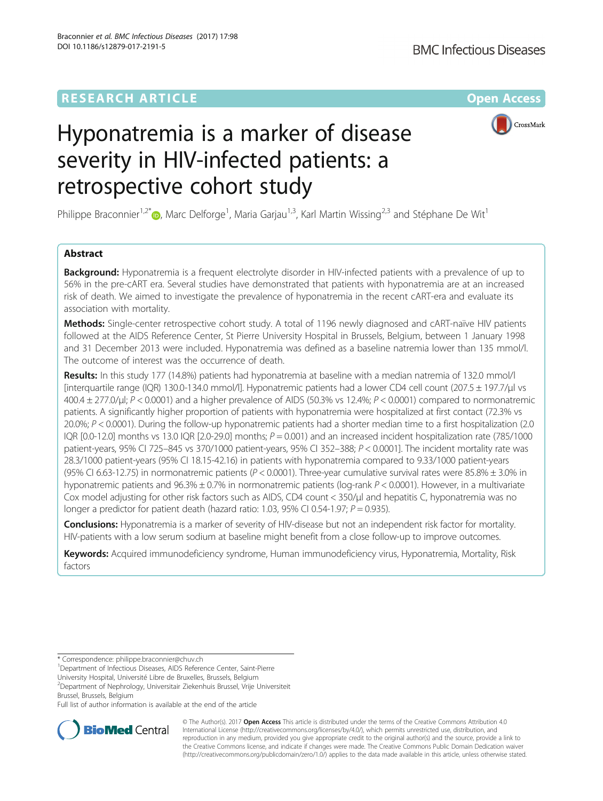

# Hyponatremia is a marker of disease severity in HIV-infected patients: a retrospective cohort study

Philippe Braconnier<sup>1[,](http://orcid.org/0000-0002-1610-9647)2\*</sup> $\bullet$ , Marc Delforge<sup>1</sup>, Maria Garjau<sup>1,3</sup>, Karl Martin Wissing<sup>2,3</sup> and Stéphane De Wit<sup>1</sup>

## Abstract

**Background:** Hyponatremia is a frequent electrolyte disorder in HIV-infected patients with a prevalence of up to 56% in the pre-cART era. Several studies have demonstrated that patients with hyponatremia are at an increased risk of death. We aimed to investigate the prevalence of hyponatremia in the recent cART-era and evaluate its association with mortality.

Methods: Single-center retrospective cohort study. A total of 1196 newly diagnosed and cART-naïve HIV patients followed at the AIDS Reference Center, St Pierre University Hospital in Brussels, Belgium, between 1 January 1998 and 31 December 2013 were included. Hyponatremia was defined as a baseline natremia lower than 135 mmol/l. The outcome of interest was the occurrence of death.

Results: In this study 177 (14.8%) patients had hyponatremia at baseline with a median natremia of 132.0 mmol/l [interquartile range (IQR) 130.0-134.0 mmol/l]. Hyponatremic patients had a lower CD4 cell count (207.5 ± 197.7/μl vs 400.4 ± 277.0/μl; P < 0.0001) and a higher prevalence of AIDS (50.3% vs 12.4%; P < 0.0001) compared to normonatremic patients. A significantly higher proportion of patients with hyponatremia were hospitalized at first contact (72.3% vs 20.0%; P < 0.0001). During the follow-up hyponatremic patients had a shorter median time to a first hospitalization (2.0 IQR  $[0.0-12.0]$  months vs 13.0 IQR  $[2.0-29.0]$  months;  $P = 0.001$ ) and an increased incident hospitalization rate (785/1000 patient-years, 95% CI 725–845 vs 370/1000 patient-years, 95% CI 352–388; P < 0.0001]. The incident mortality rate was 28.3/1000 patient-years (95% CI 18.15-42.16) in patients with hyponatremia compared to 9.33/1000 patient-years (95% CI 6.63-12.75) in normonatremic patients ( $P < 0.0001$ ). Three-year cumulative survival rates were 85.8%  $\pm$  3.0% in hyponatremic patients and 96.3% ± 0.7% in normonatremic patients (log-rank P < 0.0001). However, in a multivariate Cox model adjusting for other risk factors such as AIDS, CD4 count < 350/μl and hepatitis C, hyponatremia was no longer a predictor for patient death (hazard ratio: 1.03, 95% CI 0.54-1.97;  $P = 0.935$ ).

Conclusions: Hyponatremia is a marker of severity of HIV-disease but not an independent risk factor for mortality. HIV-patients with a low serum sodium at baseline might benefit from a close follow-up to improve outcomes.

Keywords: Acquired immunodeficiency syndrome, Human immunodeficiency virus, Hyponatremia, Mortality, Risk factors

University Hospital, Université Libre de Bruxelles, Brussels, Belgium

2 Department of Nephrology, Universitair Ziekenhuis Brussel, Vrije Universiteit Brussel, Brussels, Belgium

Full list of author information is available at the end of the article



© The Author(s). 2017 **Open Access** This article is distributed under the terms of the Creative Commons Attribution 4.0 International License [\(http://creativecommons.org/licenses/by/4.0/](http://creativecommons.org/licenses/by/4.0/)), which permits unrestricted use, distribution, and reproduction in any medium, provided you give appropriate credit to the original author(s) and the source, provide a link to the Creative Commons license, and indicate if changes were made. The Creative Commons Public Domain Dedication waiver [\(http://creativecommons.org/publicdomain/zero/1.0/](http://creativecommons.org/publicdomain/zero/1.0/)) applies to the data made available in this article, unless otherwise stated.

<sup>\*</sup> Correspondence: [philippe.braconnier@chuv.ch](mailto:philippe.braconnier@chuv.ch) <sup>1</sup>

<sup>&</sup>lt;sup>1</sup>Department of Infectious Diseases, AIDS Reference Center, Saint-Pierre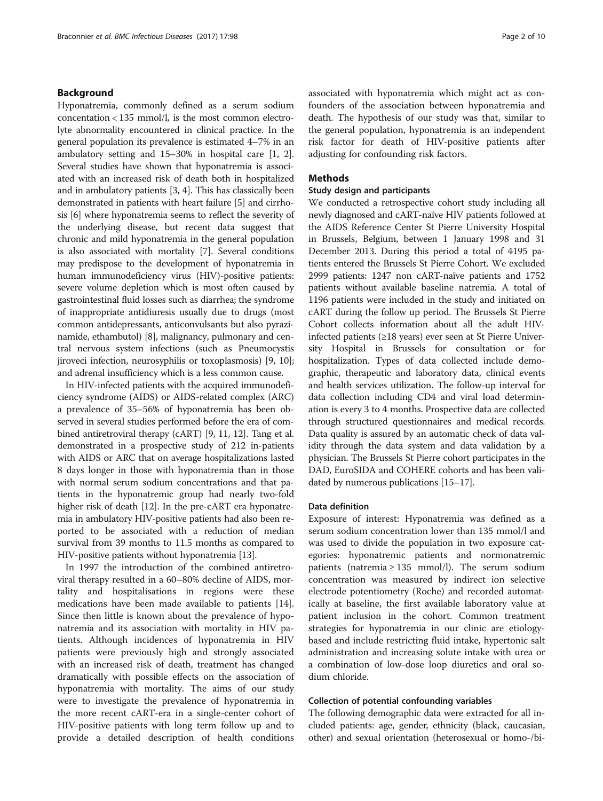## Background

Hyponatremia, commonly defined as a serum sodium concentation < 135 mmol/l, is the most common electrolyte abnormality encountered in clinical practice. In the general population its prevalence is estimated 4–7% in an ambulatory setting and 15–30% in hospital care [[1](#page-9-0), [2](#page-9-0)]. Several studies have shown that hyponatremia is associated with an increased risk of death both in hospitalized and in ambulatory patients [[3](#page-9-0), [4](#page-9-0)]. This has classically been demonstrated in patients with heart failure [\[5](#page-9-0)] and cirrhosis [\[6](#page-9-0)] where hyponatremia seems to reflect the severity of the underlying disease, but recent data suggest that chronic and mild hyponatremia in the general population is also associated with mortality [\[7](#page-9-0)]. Several conditions may predispose to the development of hyponatremia in human immunodeficiency virus (HIV)-positive patients: severe volume depletion which is most often caused by gastrointestinal fluid losses such as diarrhea; the syndrome of inappropriate antidiuresis usually due to drugs (most common antidepressants, anticonvulsants but also pyrazinamide, ethambutol) [\[8\]](#page-9-0), malignancy, pulmonary and central nervous system infections (such as Pneumocystis jiroveci infection, neurosyphilis or toxoplasmosis) [\[9](#page-9-0), [10](#page-9-0)]; and adrenal insufficiency which is a less common cause.

In HIV-infected patients with the acquired immunodeficiency syndrome (AIDS) or AIDS-related complex (ARC) a prevalence of 35–56% of hyponatremia has been observed in several studies performed before the era of combined antiretroviral therapy (cART) [[9, 11](#page-9-0), [12](#page-9-0)]. Tang et al. demonstrated in a prospective study of 212 in-patients with AIDS or ARC that on average hospitalizations lasted 8 days longer in those with hyponatremia than in those with normal serum sodium concentrations and that patients in the hyponatremic group had nearly two-fold higher risk of death [[12](#page-9-0)]. In the pre-cART era hyponatremia in ambulatory HIV-positive patients had also been reported to be associated with a reduction of median survival from 39 months to 11.5 months as compared to HIV-positive patients without hyponatremia [[13\]](#page-9-0).

In 1997 the introduction of the combined antiretroviral therapy resulted in a 60–80% decline of AIDS, mortality and hospitalisations in regions were these medications have been made available to patients [\[14](#page-9-0)]. Since then little is known about the prevalence of hyponatremia and its association with mortality in HIV patients. Although incidences of hyponatremia in HIV patients were previously high and strongly associated with an increased risk of death, treatment has changed dramatically with possible effects on the association of hyponatremia with mortality. The aims of our study were to investigate the prevalence of hyponatremia in the more recent cART-era in a single-center cohort of HIV-positive patients with long term follow up and to provide a detailed description of health conditions

associated with hyponatremia which might act as confounders of the association between hyponatremia and death. The hypothesis of our study was that, similar to the general population, hyponatremia is an independent risk factor for death of HIV-positive patients after adjusting for confounding risk factors.

#### Methods

#### Study design and participants

We conducted a retrospective cohort study including all newly diagnosed and cART-naïve HIV patients followed at the AIDS Reference Center St Pierre University Hospital in Brussels, Belgium, between 1 January 1998 and 31 December 2013. During this period a total of 4195 patients entered the Brussels St Pierre Cohort. We excluded 2999 patients: 1247 non cART-naïve patients and 1752 patients without available baseline natremia. A total of 1196 patients were included in the study and initiated on cART during the follow up period. The Brussels St Pierre Cohort collects information about all the adult HIVinfected patients (≥18 years) ever seen at St Pierre University Hospital in Brussels for consultation or for hospitalization. Types of data collected include demographic, therapeutic and laboratory data, clinical events and health services utilization. The follow-up interval for data collection including CD4 and viral load determination is every 3 to 4 months. Prospective data are collected through structured questionnaires and medical records. Data quality is assured by an automatic check of data validity through the data system and data validation by a physician. The Brussels St Pierre cohort participates in the DAD, EuroSIDA and COHERE cohorts and has been validated by numerous publications [[15](#page-9-0)–[17\]](#page-9-0).

#### Data definition

Exposure of interest: Hyponatremia was defined as a serum sodium concentration lower than 135 mmol/l and was used to divide the population in two exposure categories: hyponatremic patients and normonatremic patients (natremia ≥ 135 mmol/l). The serum sodium concentration was measured by indirect ion selective electrode potentiometry (Roche) and recorded automatically at baseline, the first available laboratory value at patient inclusion in the cohort. Common treatment strategies for hyponatremia in our clinic are etiologybased and include restricting fluid intake, hypertonic salt administration and increasing solute intake with urea or a combination of low-dose loop diuretics and oral sodium chloride.

## Collection of potential confounding variables

The following demographic data were extracted for all included patients: age, gender, ethnicity (black, caucasian, other) and sexual orientation (heterosexual or homo-/bi-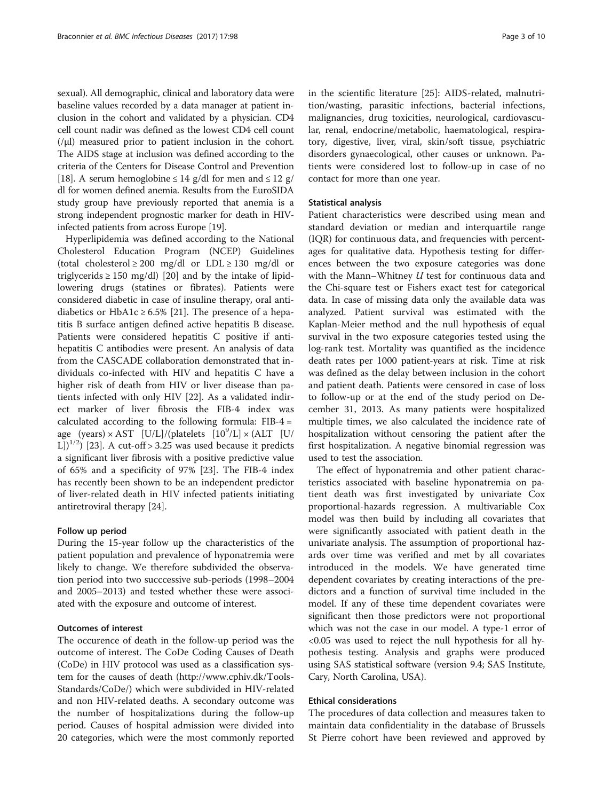sexual). All demographic, clinical and laboratory data were baseline values recorded by a data manager at patient inclusion in the cohort and validated by a physician. CD4 cell count nadir was defined as the lowest CD4 cell count (/μl) measured prior to patient inclusion in the cohort. The AIDS stage at inclusion was defined according to the criteria of the Centers for Disease Control and Prevention [[18](#page-9-0)]. A serum hemoglobine  $\leq 14$  g/dl for men and  $\leq 12$  g/ dl for women defined anemia. Results from the EuroSIDA study group have previously reported that anemia is a strong independent prognostic marker for death in HIVinfected patients from across Europe [\[19\]](#page-9-0).

Hyperlipidemia was defined according to the National Cholesterol Education Program (NCEP) Guidelines (total cholesterol  $\geq 200$  mg/dl or LDL  $\geq 130$  mg/dl or triglycerids  $\geq$  150 mg/dl) [[20\]](#page-9-0) and by the intake of lipidlowering drugs (statines or fibrates). Patients were considered diabetic in case of insuline therapy, oral antidiabetics or HbA1c  $\geq$  6.5% [\[21](#page-9-0)]. The presence of a hepatitis B surface antigen defined active hepatitis B disease. Patients were considered hepatitis C positive if antihepatitis C antibodies were present. An analysis of data from the CASCADE collaboration demonstrated that individuals co-infected with HIV and hepatitis C have a higher risk of death from HIV or liver disease than patients infected with only HIV [\[22](#page-9-0)]. As a validated indirect marker of liver fibrosis the FIB-4 index was calculated according to the following formula: FIB-4 = age (years)  $\times$  AST [U/L]/(platelets [10<sup>9</sup>/L]  $\times$  (ALT [U/ L] $\binom{1}{2}$  [\[23](#page-9-0)]. A cut-off > 3.25 was used because it predicts a significant liver fibrosis with a positive predictive value of 65% and a specificity of 97% [[23](#page-9-0)]. The FIB-4 index has recently been shown to be an independent predictor of liver-related death in HIV infected patients initiating antiretroviral therapy [[24](#page-9-0)].

## Follow up period

During the 15-year follow up the characteristics of the patient population and prevalence of hyponatremia were likely to change. We therefore subdivided the observation period into two succcessive sub-periods (1998–2004 and 2005–2013) and tested whether these were associated with the exposure and outcome of interest.

## Outcomes of interest

The occurence of death in the follow-up period was the outcome of interest. The CoDe Coding Causes of Death (CoDe) in HIV protocol was used as a classification system for the causes of death [\(http://www.cphiv.dk/Tools-](http://www.cphiv.dk/Tools-Standards/CoDe/)[Standards/CoDe/](http://www.cphiv.dk/Tools-Standards/CoDe/)) which were subdivided in HIV-related and non HIV-related deaths. A secondary outcome was the number of hospitalizations during the follow-up period. Causes of hospital admission were divided into 20 categories, which were the most commonly reported in the scientific literature [[25](#page-9-0)]: AIDS-related, malnutrition/wasting, parasitic infections, bacterial infections, malignancies, drug toxicities, neurological, cardiovascular, renal, endocrine/metabolic, haematological, respiratory, digestive, liver, viral, skin/soft tissue, psychiatric disorders gynaecological, other causes or unknown. Patients were considered lost to follow-up in case of no contact for more than one year.

## Statistical analysis

Patient characteristics were described using mean and standard deviation or median and interquartile range (IQR) for continuous data, and frequencies with percentages for qualitative data. Hypothesis testing for differences between the two exposure categories was done with the Mann–Whitney  $U$  test for continuous data and the Chi-square test or Fishers exact test for categorical data. In case of missing data only the available data was analyzed. Patient survival was estimated with the Kaplan-Meier method and the null hypothesis of equal survival in the two exposure categories tested using the log-rank test. Mortality was quantified as the incidence death rates per 1000 patient-years at risk. Time at risk was defined as the delay between inclusion in the cohort and patient death. Patients were censored in case of loss to follow-up or at the end of the study period on December 31, 2013. As many patients were hospitalized multiple times, we also calculated the incidence rate of hospitalization without censoring the patient after the first hospitalization. A negative binomial regression was used to test the association.

The effect of hyponatremia and other patient characteristics associated with baseline hyponatremia on patient death was first investigated by univariate Cox proportional-hazards regression. A multivariable Cox model was then build by including all covariates that were significantly associated with patient death in the univariate analysis. The assumption of proportional hazards over time was verified and met by all covariates introduced in the models. We have generated time dependent covariates by creating interactions of the predictors and a function of survival time included in the model. If any of these time dependent covariates were significant then those predictors were not proportional which was not the case in our model. A type-1 error of <0.05 was used to reject the null hypothesis for all hypothesis testing. Analysis and graphs were produced using SAS statistical software (version 9.4; SAS Institute, Cary, North Carolina, USA).

## Ethical considerations

The procedures of data collection and measures taken to maintain data confidentiality in the database of Brussels St Pierre cohort have been reviewed and approved by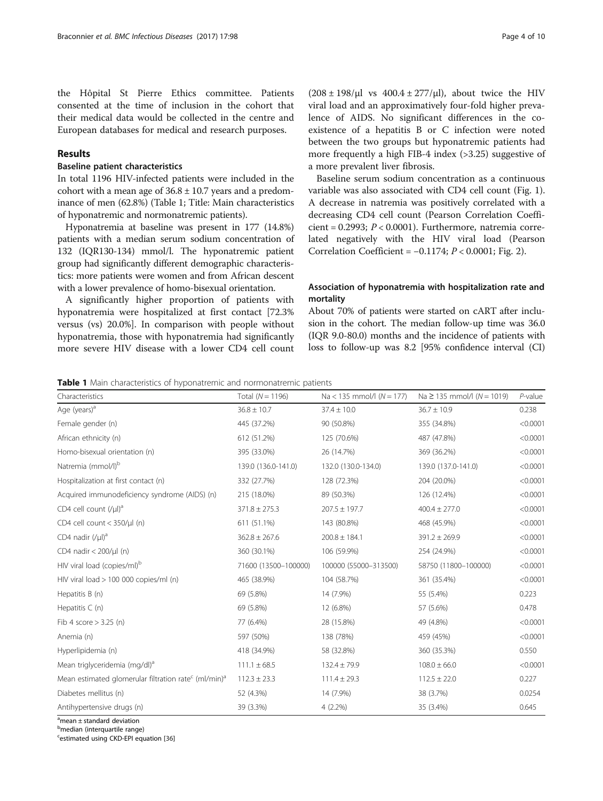the Hôpital St Pierre Ethics committee. Patients consented at the time of inclusion in the cohort that their medical data would be collected in the centre and European databases for medical and research purposes.

## Results

## Baseline patient characteristics

In total 1196 HIV-infected patients were included in the cohort with a mean age of  $36.8 \pm 10.7$  years and a predominance of men (62.8%) (Table 1; Title: Main characteristics of hyponatremic and normonatremic patients).

Hyponatremia at baseline was present in 177 (14.8%) patients with a median serum sodium concentration of 132 (IQR130-134) mmol/l. The hyponatremic patient group had significantly different demographic characteristics: more patients were women and from African descent with a lower prevalence of homo-bisexual orientation.

A significantly higher proportion of patients with hyponatremia were hospitalized at first contact [72.3% versus (vs) 20.0%]. In comparison with people without hyponatremia, those with hyponatremia had significantly more severe HIV disease with a lower CD4 cell count

 $(208 \pm 198/\mu l \text{ vs } 400.4 \pm 277/\mu l)$ , about twice the HIV viral load and an approximatively four-fold higher prevalence of AIDS. No significant differences in the coexistence of a hepatitis B or C infection were noted between the two groups but hyponatremic patients had more frequently a high FIB-4 index (>3.25) suggestive of a more prevalent liver fibrosis.

Baseline serum sodium concentration as a continuous variable was also associated with CD4 cell count (Fig. [1](#page-4-0)). A decrease in natremia was positively correlated with a decreasing CD4 cell count (Pearson Correlation Coefficient = 0.2993;  $P < 0.0001$ ). Furthermore, natremia correlated negatively with the HIV viral load (Pearson Correlation Coefficient =  $-0.1174$ ;  $P < 0.0001$ ; Fig. [2\)](#page-4-0).

## Association of hyponatremia with hospitalization rate and mortality

About 70% of patients were started on cART after inclusion in the cohort. The median follow-up time was 36.0 (IQR 9.0-80.0) months and the incidence of patients with loss to follow-up was 8.2 [95% confidence interval (CI)

Table 1 Main characteristics of hyponatremic and normonatremic patients

| Characteristics                                                              | Total $(N = 1196)$   | $Na < 135$ mmol/l ( $N = 177$ )            | $Na \ge 135$ mmol/l ( $N = 1019$ ) | $P$ -value |
|------------------------------------------------------------------------------|----------------------|--------------------------------------------|------------------------------------|------------|
| Age (years) <sup>a</sup>                                                     | $36.8 \pm 10.7$      | $37.4 \pm 10.0$<br>$36.7 \pm 10.9$         |                                    | 0.238      |
| Female gender (n)                                                            | 445 (37.2%)          | 90 (50.8%)<br>355 (34.8%)                  |                                    | < 0.0001   |
| African ethnicity (n)                                                        | 612 (51.2%)          | 487 (47.8%)<br>125 (70.6%)                 |                                    | < 0.0001   |
| Homo-bisexual orientation (n)                                                | 395 (33.0%)          | 26 (14.7%)<br>369 (36.2%)                  |                                    | < 0.0001   |
| Natremia (mmol/l) <sup>b</sup>                                               | 139.0 (136.0-141.0)  | 132.0 (130.0-134.0)<br>139.0 (137.0-141.0) |                                    | < 0.0001   |
| Hospitalization at first contact (n)                                         | 332 (27.7%)          | 128 (72.3%)<br>204 (20.0%)                 |                                    | < 0.0001   |
| Acquired immunodeficiency syndrome (AIDS) (n)                                | 215 (18.0%)          | 89 (50.3%)                                 | 126 (12.4%)                        | < 0.0001   |
| CD4 cell count $($ /µl) <sup>a</sup>                                         | $371.8 \pm 275.3$    | $207.5 \pm 197.7$                          | $400.4 \pm 277.0$                  | < 0.0001   |
| CD4 cell count < 350/µl (n)                                                  | 611 (51.1%)          | 143 (80.8%)                                | 468 (45.9%)                        | < 0.0001   |
| CD4 nadir $($ / $\mu$ I) <sup>a</sup>                                        | $362.8 \pm 267.6$    | $200.8 \pm 184.1$                          | $391.2 \pm 269.9$                  | < 0.0001   |
| CD4 nadir < 200/µl (n)                                                       | 360 (30.1%)          | 106 (59.9%)                                | 254 (24.9%)                        | < 0.0001   |
| HIV viral load (copies/ml) <sup>b</sup>                                      | 71600 (13500-100000) | 100000 (55000-313500)                      | 58750 (11800-100000)               | < 0.0001   |
| HIV viral load > 100 000 copies/ml (n)                                       | 465 (38.9%)          | 104 (58.7%)                                | 361 (35.4%)                        | < 0.0001   |
| Hepatitis B (n)                                                              | 69 (5.8%)            | 14 (7.9%)                                  | 55 (5.4%)                          | 0.223      |
| Hepatitis $C(n)$                                                             | 69 (5.8%)            | 12 (6.8%)                                  | 57 (5.6%)                          | 0.478      |
| Fib 4 score $>$ 3.25 (n)                                                     | 77 (6.4%)            | 28 (15.8%)                                 | 49 (4.8%)                          | < 0.0001   |
| Anemia (n)                                                                   | 597 (50%)            | 138 (78%)                                  | 459 (45%)                          | < 0.0001   |
| Hyperlipidemia (n)                                                           | 418 (34.9%)          | 58 (32.8%)                                 | 360 (35.3%)                        | 0.550      |
| Mean triglyceridemia (mg/dl) <sup>a</sup>                                    | $111.1 \pm 68.5$     | $132.4 \pm 79.9$                           | $108.0 \pm 66.0$                   | < 0.0001   |
| Mean estimated glomerular filtration rate <sup>c</sup> (ml/min) <sup>a</sup> | $112.3 \pm 23.3$     | $111.4 \pm 29.3$                           | $112.5 \pm 22.0$                   | 0.227      |
| Diabetes mellitus (n)                                                        | 52 (4.3%)            | 14 (7.9%)                                  | 38 (3.7%)                          | 0.0254     |
| Antihypertensive drugs (n)                                                   | 39 (3.3%)            | $4(2.2\%)$                                 | 35 (3.4%)                          | 0.645      |

<sup>a</sup>mean ± standard deviation

<sup>c</sup>estimated using CKD-EPI equation [[36\]](#page-9-0)

<sup>&</sup>lt;sup>b</sup>median (interquartile range)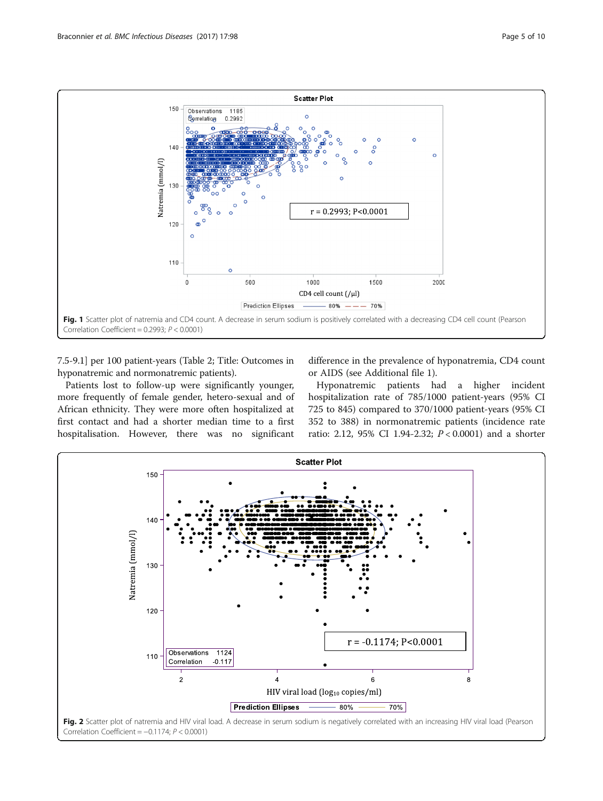<span id="page-4-0"></span>

7.5-9.1] per 100 patient-years (Table [2;](#page-5-0) Title: Outcomes in hyponatremic and normonatremic patients).

Patients lost to follow-up were significantly younger, more frequently of female gender, hetero-sexual and of African ethnicity. They were more often hospitalized at first contact and had a shorter median time to a first hospitalisation. However, there was no significant

difference in the prevalence of hyponatremia, CD4 count or AIDS (see Additional file [1\)](#page-8-0).

Hyponatremic patients had a higher incident hospitalization rate of 785/1000 patient-years (95% CI 725 to 845) compared to 370/1000 patient-years (95% CI 352 to 388) in normonatremic patients (incidence rate ratio: 2.12, 95% CI 1.94-2.32; P < 0.0001) and a shorter

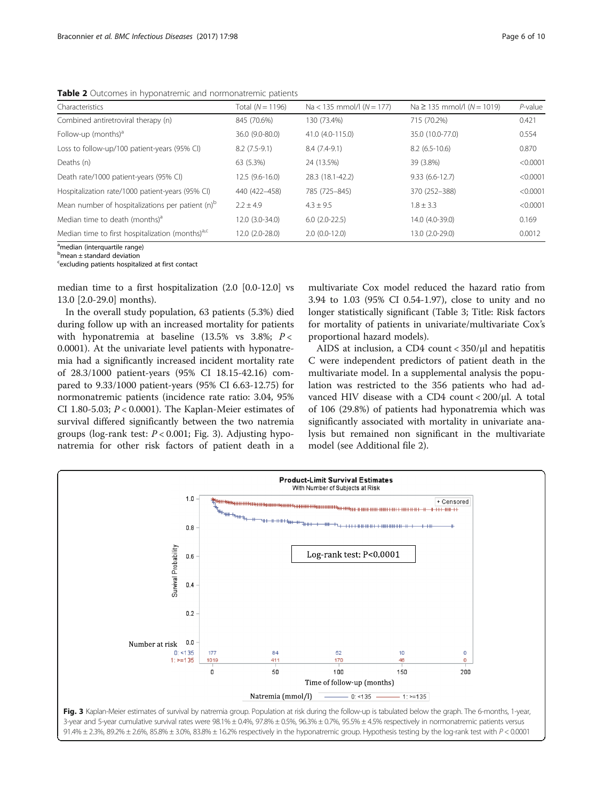<span id="page-5-0"></span>Table 2 Outcomes in hyponatremic and normonatremic patients

| Characteristics                                              | Total $(N = 1196)$ | $Na < 135$ mmol/l $(N = 177)$ | $Na \ge 135$ mmol/l ( $N = 1019$ ) | $P$ -value |
|--------------------------------------------------------------|--------------------|-------------------------------|------------------------------------|------------|
| Combined antiretroviral therapy (n)                          | 845 (70.6%)        | 130 (73.4%)                   | 715 (70.2%)                        | 0.421      |
| Follow-up (months) $a$                                       | 36.0 (9.0-80.0)    | 41.0 (4.0-115.0)              | 35.0 (10.0-77.0)                   | 0.554      |
| Loss to follow-up/100 patient-years (95% CI)                 | $8.2(7.5-9.1)$     | $8.4(7.4-9.1)$                | $8.2(6.5-10.6)$                    | 0.870      |
| Deaths (n)                                                   | 63 (5.3%)          | 24 (13.5%)                    | 39 (3.8%)                          | < 0.0001   |
| Death rate/1000 patient-years (95% CI)                       | 12.5 (9.6-16.0)    | 28.3 (18.1-42.2)              | $9.33(6.6-12.7)$                   | < 0.0001   |
| Hospitalization rate/1000 patient-years (95% CI)             | 440 (422-458)      | 785 (725-845)                 | 370 (252-388)                      | < 0.0001   |
| Mean number of hospitalizations per patient (n) <sup>b</sup> | $2.2 + 4.9$        | $4.3 \pm 9.5$                 | $1.8 \pm 3.3$                      | < 0.0001   |
| Median time to death (months) <sup>a</sup>                   | 12.0 (3.0-34.0)    | $6.0(2.0-22.5)$               | 14.0 (4.0-39.0)                    | 0.169      |
| Median time to first hospitalization (months) <sup>a,c</sup> | 12.0 (2.0-28.0)    | $2.0(0.0-12.0)$               | 13.0 (2.0-29.0)                    | 0.0012     |

<sup>a</sup>median (interquartile range)

<sup>b</sup>mean ± standard deviation

<sup>c</sup>excluding patients hospitalized at first contact

median time to a first hospitalization (2.0 [0.0-12.0] vs 13.0 [2.0-29.0] months).

In the overall study population, 63 patients (5.3%) died during follow up with an increased mortality for patients with hyponatremia at baseline (13.5% vs 3.8%;  $P <$ 0.0001). At the univariate level patients with hyponatremia had a significantly increased incident mortality rate of 28.3/1000 patient-years (95% CI 18.15-42.16) compared to 9.33/1000 patient-years (95% CI 6.63-12.75) for normonatremic patients (incidence rate ratio: 3.04, 95% CI 1.80-5.03;  $P < 0.0001$ ). The Kaplan-Meier estimates of survival differed significantly between the two natremia groups (log-rank test:  $P < 0.001$ ; Fig. 3). Adjusting hyponatremia for other risk factors of patient death in a

multivariate Cox model reduced the hazard ratio from 3.94 to 1.03 (95% CI 0.54-1.97), close to unity and no longer statistically significant (Table [3;](#page-6-0) Title: Risk factors for mortality of patients in univariate/multivariate Cox's proportional hazard models).

AIDS at inclusion, a CD4 count < 350/μl and hepatitis C were independent predictors of patient death in the multivariate model. In a supplemental analysis the population was restricted to the 356 patients who had advanced HIV disease with a CD4 count < 200/μl. A total of 106 (29.8%) of patients had hyponatremia which was significantly associated with mortality in univariate analysis but remained non significant in the multivariate model (see Additional file [2](#page-8-0)).

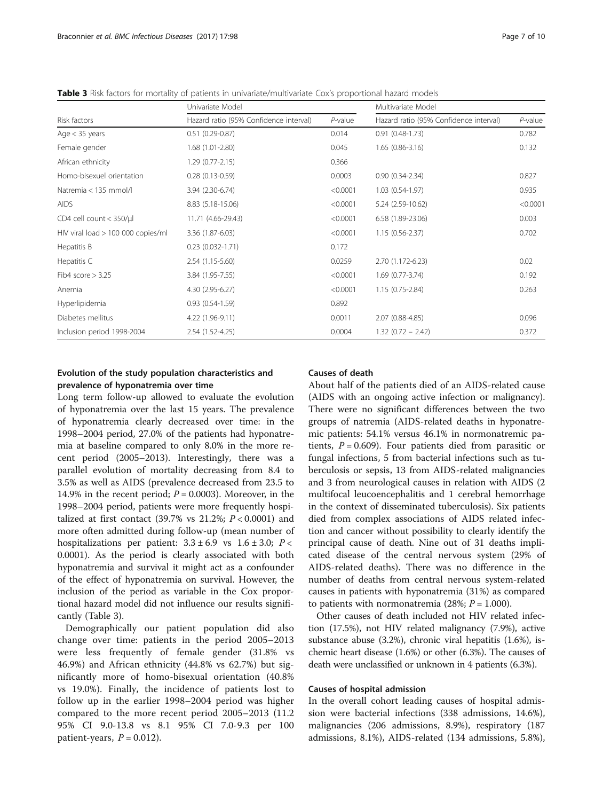<span id="page-6-0"></span>Table 3 Risk factors for mortality of patients in univariate/multivariate Cox's proportional hazard models

|                                        | Univariate Model                       |            | Multivariate Model                     |            |
|----------------------------------------|----------------------------------------|------------|----------------------------------------|------------|
| Risk factors                           | Hazard ratio (95% Confidence interval) | $P$ -value | Hazard ratio (95% Confidence interval) | $P$ -value |
| Age $<$ 35 years                       | $0.51(0.29 - 0.87)$                    | 0.014      | $0.91(0.48-1.73)$                      | 0.782      |
| Female gender                          | $1.68(1.01 - 2.80)$                    | 0.045      | $1.65(0.86-3.16)$                      | 0.132      |
| African ethnicity                      | $1.29(0.77 - 2.15)$                    | 0.366      |                                        |            |
| Homo-bisexuel orientation              | $0.28(0.13-0.59)$                      | 0.0003     | $0.90(0.34 - 2.34)$                    | 0.827      |
| Natremia < 135 mmol/l                  | 3.94 (2.30-6.74)                       | < 0.0001   | $1.03(0.54-1.97)$                      | 0.935      |
| <b>AIDS</b>                            | 8.83 (5.18-15.06)                      | < 0.0001   | 5.24 (2.59-10.62)                      | < 0.0001   |
| CD4 cell count $<$ 350/ $\mu$ l        | 11.71 (4.66-29.43)                     | < 0.0001   | 6.58 (1.89-23.06)                      | 0.003      |
| $HIV$ viral load $> 100 000$ copies/ml | 3.36 (1.87-6.03)                       | < 0.0001   | $1.15(0.56 - 2.37)$                    | 0.702      |
| Hepatitis B                            | $0.23(0.032 - 1.71)$                   | 0.172      |                                        |            |
| Hepatitis C                            | 2.54 (1.15-5.60)                       | 0.0259     | 2.70 (1.172-6.23)                      | 0.02       |
| Fib4 score $> 3.25$                    | 3.84 (1.95-7.55)                       | < 0.0001   | $1.69(0.77-3.74)$                      | 0.192      |
| Anemia                                 | 4.30 (2.95-6.27)                       | < 0.0001   | $1.15(0.75 - 2.84)$                    | 0.263      |
| Hyperlipidemia                         | $0.93(0.54-1.59)$                      | 0.892      |                                        |            |
| Diabetes mellitus                      | 4.22 (1.96-9.11)                       | 0.0011     | 2.07 (0.88-4.85)                       | 0.096      |
| Inclusion period 1998-2004             | 2.54 (1.52-4.25)                       | 0.0004     | $1.32(0.72 - 2.42)$                    | 0.372      |

## Evolution of the study population characteristics and prevalence of hyponatremia over time

Long term follow-up allowed to evaluate the evolution of hyponatremia over the last 15 years. The prevalence of hyponatremia clearly decreased over time: in the 1998–2004 period, 27.0% of the patients had hyponatremia at baseline compared to only 8.0% in the more recent period (2005–2013). Interestingly, there was a parallel evolution of mortality decreasing from 8.4 to 3.5% as well as AIDS (prevalence decreased from 23.5 to 14.9% in the recent period;  $P = 0.0003$ ). Moreover, in the 1998–2004 period, patients were more frequently hospitalized at first contact (39.7% vs 21.2%;  $P < 0.0001$ ) and more often admitted during follow-up (mean number of hospitalizations per patient:  $3.3 \pm 6.9$  vs  $1.6 \pm 3.0$ ;  $P <$ 0.0001). As the period is clearly associated with both hyponatremia and survival it might act as a confounder of the effect of hyponatremia on survival. However, the inclusion of the period as variable in the Cox proportional hazard model did not influence our results significantly (Table 3).

Demographically our patient population did also change over time: patients in the period 2005–2013 were less frequently of female gender (31.8% vs 46.9%) and African ethnicity (44.8% vs 62.7%) but significantly more of homo-bisexual orientation (40.8% vs 19.0%). Finally, the incidence of patients lost to follow up in the earlier 1998–2004 period was higher compared to the more recent period 2005–2013 (11.2 95% CI 9.0-13.8 vs 8.1 95% CI 7.0-9.3 per 100 patient-years,  $P = 0.012$ ).

## Causes of death

About half of the patients died of an AIDS-related cause (AIDS with an ongoing active infection or malignancy). There were no significant differences between the two groups of natremia (AIDS-related deaths in hyponatremic patients: 54.1% versus 46.1% in normonatremic patients,  $P = 0.609$ ). Four patients died from parasitic or fungal infections, 5 from bacterial infections such as tuberculosis or sepsis, 13 from AIDS-related malignancies and 3 from neurological causes in relation with AIDS (2 multifocal leucoencephalitis and 1 cerebral hemorrhage in the context of disseminated tuberculosis). Six patients died from complex associations of AIDS related infection and cancer without possibility to clearly identify the principal cause of death. Nine out of 31 deaths implicated disease of the central nervous system (29% of AIDS-related deaths). There was no difference in the number of deaths from central nervous system-related causes in patients with hyponatremia (31%) as compared to patients with normonatremia  $(28\%; P = 1.000)$ .

Other causes of death included not HIV related infection (17.5%), not HIV related malignancy (7.9%), active substance abuse (3.2%), chronic viral hepatitis (1.6%), ischemic heart disease (1.6%) or other (6.3%). The causes of death were unclassified or unknown in 4 patients (6.3%).

## Causes of hospital admission

In the overall cohort leading causes of hospital admission were bacterial infections (338 admissions, 14.6%), malignancies (206 admissions, 8.9%), respiratory (187 admissions, 8.1%), AIDS-related (134 admissions, 5.8%),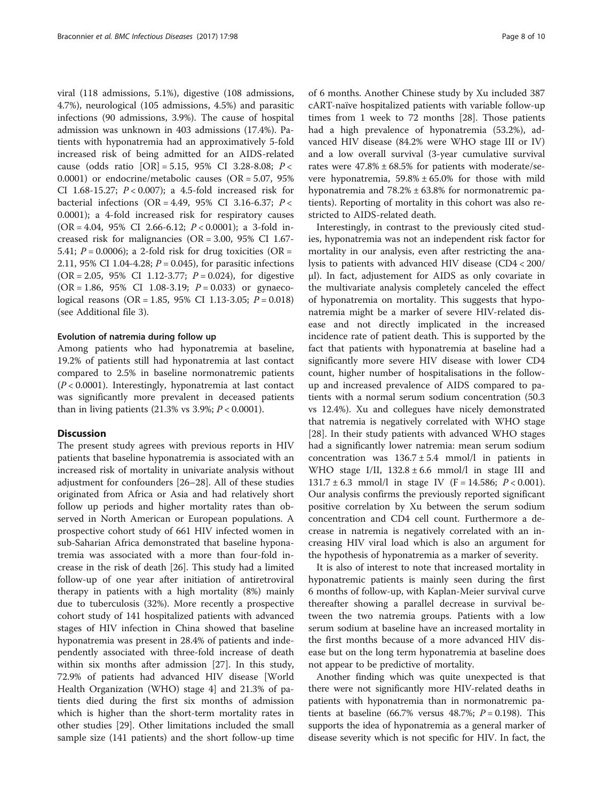viral (118 admissions, 5.1%), digestive (108 admissions, 4.7%), neurological (105 admissions, 4.5%) and parasitic infections (90 admissions, 3.9%). The cause of hospital admission was unknown in 403 admissions (17.4%). Patients with hyponatremia had an approximatively 5-fold increased risk of being admitted for an AIDS-related cause (odds ratio  $[OR] = 5.15$ , 95% CI 3.28-8.08;  $P <$ 0.0001) or endocrine/metabolic causes (OR = 5.07, 95% CI 1.68-15.27; P < 0.007); a 4.5-fold increased risk for bacterial infections (OR = 4.49, 95% CI 3.16-6.37;  $P <$ 0.0001); a 4-fold increased risk for respiratory causes  $(OR = 4.04, 95\% \text{ CI } 2.66-6.12; P < 0.0001);$  a 3-fold increased risk for malignancies (OR = 3.00, 95% CI 1.67- 5.41;  $P = 0.0006$ ); a 2-fold risk for drug toxicities (OR = 2.11, 95% CI 1.04-4.28;  $P = 0.045$ ), for parasitic infections  $(OR = 2.05, 95\% \text{ CI } 1.12 - 3.77; P = 0.024)$ , for digestive  $(OR = 1.86, 95\% \text{ CI } 1.08 - 3.19; P = 0.033)$  or gynaecological reasons (OR = 1.85, 95% CI 1.13-3.05;  $P = 0.018$ ) (see Additional file [3\)](#page-8-0).

#### Evolution of natremia during follow up

Among patients who had hyponatremia at baseline, 19.2% of patients still had hyponatremia at last contact compared to 2.5% in baseline normonatremic patients  $(P < 0.0001)$ . Interestingly, hyponatremia at last contact was significantly more prevalent in deceased patients than in living patients  $(21.3\% \text{ vs } 3.9\%; P < 0.0001).$ 

## **Discussion**

The present study agrees with previous reports in HIV patients that baseline hyponatremia is associated with an increased risk of mortality in univariate analysis without adjustment for confounders [\[26](#page-9-0)–[28\]](#page-9-0). All of these studies originated from Africa or Asia and had relatively short follow up periods and higher mortality rates than observed in North American or European populations. A prospective cohort study of 661 HIV infected women in sub-Saharian Africa demonstrated that baseline hyponatremia was associated with a more than four-fold increase in the risk of death [\[26\]](#page-9-0). This study had a limited follow-up of one year after initiation of antiretroviral therapy in patients with a high mortality (8%) mainly due to tuberculosis (32%). More recently a prospective cohort study of 141 hospitalized patients with advanced stages of HIV infection in China showed that baseline hyponatremia was present in 28.4% of patients and independently associated with three-fold increase of death within six months after admission [[27\]](#page-9-0). In this study, 72.9% of patients had advanced HIV disease [World Health Organization (WHO) stage 4] and 21.3% of patients died during the first six months of admission which is higher than the short-term mortality rates in other studies [[29\]](#page-9-0). Other limitations included the small sample size (141 patients) and the short follow-up time

of 6 months. Another Chinese study by Xu included 387 cART-naïve hospitalized patients with variable follow-up times from 1 week to 72 months [[28\]](#page-9-0). Those patients had a high prevalence of hyponatremia (53.2%), advanced HIV disease (84.2% were WHO stage III or IV) and a low overall survival (3-year cumulative survival rates were  $47.8\% \pm 68.5\%$  for patients with moderate/severe hyponatremia,  $59.8\% \pm 65.0\%$  for those with mild hyponatremia and 78.2% ± 63.8% for normonatremic patients). Reporting of mortality in this cohort was also restricted to AIDS-related death.

Interestingly, in contrast to the previously cited studies, hyponatremia was not an independent risk factor for mortality in our analysis, even after restricting the analysis to patients with advanced HIV disease (CD4 < 200/ μl). In fact, adjustement for AIDS as only covariate in the multivariate analysis completely canceled the effect of hyponatremia on mortality. This suggests that hyponatremia might be a marker of severe HIV-related disease and not directly implicated in the increased incidence rate of patient death. This is supported by the fact that patients with hyponatremia at baseline had a significantly more severe HIV disease with lower CD4 count, higher number of hospitalisations in the followup and increased prevalence of AIDS compared to patients with a normal serum sodium concentration (50.3 vs 12.4%). Xu and collegues have nicely demonstrated that natremia is negatively correlated with WHO stage [[28\]](#page-9-0). In their study patients with advanced WHO stages had a significantly lower natremia: mean serum sodium concentration was  $136.7 \pm 5.4$  mmol/l in patients in WHO stage I/II,  $132.8 \pm 6.6$  mmol/l in stage III and 131.7  $\pm$  6.3 mmol/l in stage IV (F = 14.586; P < 0.001). Our analysis confirms the previously reported significant positive correlation by Xu between the serum sodium concentration and CD4 cell count. Furthermore a decrease in natremia is negatively correlated with an increasing HIV viral load which is also an argument for the hypothesis of hyponatremia as a marker of severity.

It is also of interest to note that increased mortality in hyponatremic patients is mainly seen during the first 6 months of follow-up, with Kaplan-Meier survival curve thereafter showing a parallel decrease in survival between the two natremia groups. Patients with a low serum sodium at baseline have an increased mortality in the first months because of a more advanced HIV disease but on the long term hyponatremia at baseline does not appear to be predictive of mortality.

Another finding which was quite unexpected is that there were not significantly more HIV-related deaths in patients with hyponatremia than in normonatremic patients at baseline (66.7% versus 48.7%;  $P = 0.198$ ). This supports the idea of hyponatremia as a general marker of disease severity which is not specific for HIV. In fact, the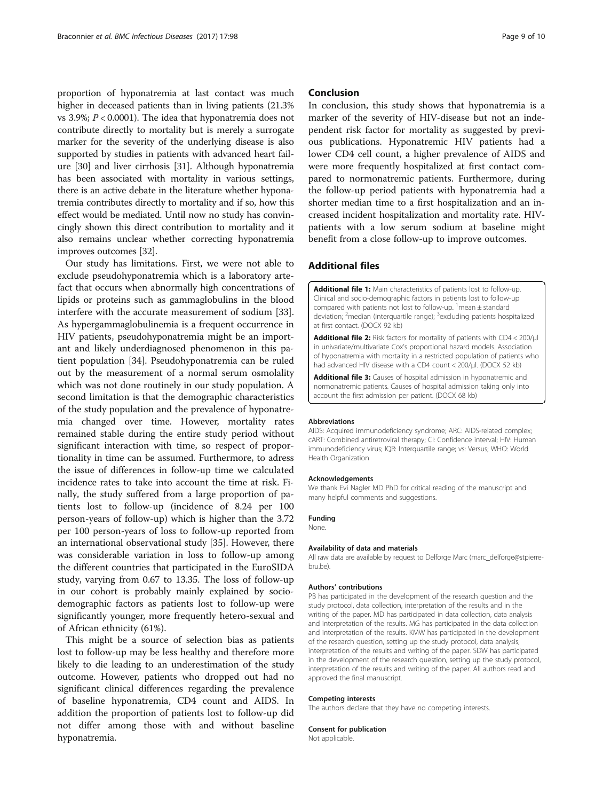<span id="page-8-0"></span>proportion of hyponatremia at last contact was much higher in deceased patients than in living patients (21.3% vs 3.9%;  $P < 0.0001$ ). The idea that hyponatremia does not contribute directly to mortality but is merely a surrogate marker for the severity of the underlying disease is also supported by studies in patients with advanced heart failure [[30\]](#page-9-0) and liver cirrhosis [[31](#page-9-0)]. Although hyponatremia has been associated with mortality in various settings, there is an active debate in the literature whether hyponatremia contributes directly to mortality and if so, how this effect would be mediated. Until now no study has convincingly shown this direct contribution to mortality and it also remains unclear whether correcting hyponatremia improves outcomes [[32](#page-9-0)].

Our study has limitations. First, we were not able to exclude pseudohyponatremia which is a laboratory artefact that occurs when abnormally high concentrations of lipids or proteins such as gammaglobulins in the blood interfere with the accurate measurement of sodium [\[33](#page-9-0)]. As hypergammaglobulinemia is a frequent occurrence in HIV patients, pseudohyponatremia might be an important and likely underdiagnosed phenomenon in this patient population [\[34\]](#page-9-0). Pseudohyponatremia can be ruled out by the measurement of a normal serum osmolality which was not done routinely in our study population. A second limitation is that the demographic characteristics of the study population and the prevalence of hyponatremia changed over time. However, mortality rates remained stable during the entire study period without significant interaction with time, so respect of proportionality in time can be assumed. Furthermore, to adress the issue of differences in follow-up time we calculated incidence rates to take into account the time at risk. Finally, the study suffered from a large proportion of patients lost to follow-up (incidence of 8.24 per 100 person-years of follow-up) which is higher than the 3.72 per 100 person-years of loss to follow-up reported from an international observational study [\[35](#page-9-0)]. However, there was considerable variation in loss to follow-up among the different countries that participated in the EuroSIDA study, varying from 0.67 to 13.35. The loss of follow-up in our cohort is probably mainly explained by sociodemographic factors as patients lost to follow-up were significantly younger, more frequently hetero-sexual and of African ethnicity (61%).

This might be a source of selection bias as patients lost to follow-up may be less healthy and therefore more likely to die leading to an underestimation of the study outcome. However, patients who dropped out had no significant clinical differences regarding the prevalence of baseline hyponatremia, CD4 count and AIDS. In addition the proportion of patients lost to follow-up did not differ among those with and without baseline hyponatremia.

## Conclusion

In conclusion, this study shows that hyponatremia is a marker of the severity of HIV-disease but not an independent risk factor for mortality as suggested by previous publications. Hyponatremic HIV patients had a lower CD4 cell count, a higher prevalence of AIDS and were more frequently hospitalized at first contact compared to normonatremic patients. Furthermore, during the follow-up period patients with hyponatremia had a shorter median time to a first hospitalization and an increased incident hospitalization and mortality rate. HIVpatients with a low serum sodium at baseline might benefit from a close follow-up to improve outcomes.

## Additional files

[Additional file 1:](dx.doi.org/10.1186/s12879-017-2191-5) Main characteristics of patients lost to follow-up. Clinical and socio-demographic factors in patients lost to follow-up compared with patients not lost to follow-up.  $\frac{1}{2}$  mean  $\pm$  standard deviation; <sup>2</sup>median (interquartile range); <sup>3</sup>excluding patients hospitalized at first contact. (DOCX 92 kb)

[Additional file 2:](dx.doi.org/10.1186/s12879-017-2191-5) Risk factors for mortality of patients with CD4 < 200/µl in univariate/multivariate Cox's proportional hazard models. Association of hyponatremia with mortality in a restricted population of patients who had advanced HIV disease with a CD4 count < 200/μl. (DOCX 52 kb)

[Additional file 3:](dx.doi.org/10.1186/s12879-017-2191-5) Causes of hospital admission in hyponatremic and normonatremic patients. Causes of hospital admission taking only into account the first admission per patient. (DOCX 68 kb)

#### Abbreviations

AIDS: Acquired immunodeficiency syndrome; ARC: AIDS-related complex; cART: Combined antiretroviral therapy; CI: Confidence interval; HIV: Human immunodeficiency virus; IQR: Interquartile range; vs: Versus; WHO: World Health Organization

#### Acknowledgements

We thank Evi Nagler MD PhD for critical reading of the manuscript and many helpful comments and suggestions.

#### Funding

#### None.

#### Availability of data and materials

All raw data are available by request to Delforge Marc (marc\_delforge@stpierrebru.be).

#### Authors' contributions

PB has participated in the development of the research question and the study protocol, data collection, interpretation of the results and in the writing of the paper. MD has participated in data collection, data analysis and interpretation of the results. MG has participated in the data collection and interpretation of the results. KMW has participated in the development of the research question, setting up the study protocol, data analysis, interpretation of the results and writing of the paper. SDW has participated in the development of the research question, setting up the study protocol, interpretation of the results and writing of the paper. All authors read and approved the final manuscript.

#### Competing interests

The authors declare that they have no competing interests.

#### Consent for publication

Not applicable.